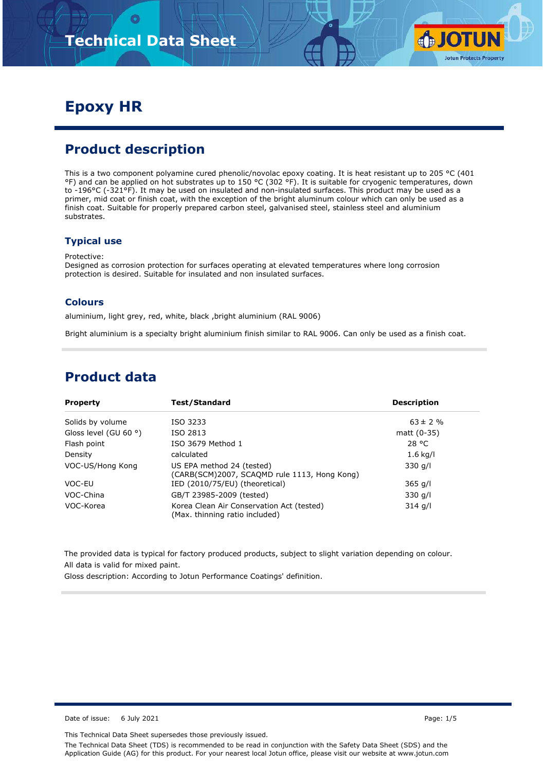

# **Epoxy HR**

## **Product description**

This is a two component polyamine cured phenolic/novolac epoxy coating. It is heat resistant up to 205 °C (401 °F) and can be applied on hot substrates up to 150 °C (302 °F). It is suitable for cryogenic temperatures, down to -196°C (-321°F). It may be used on insulated and non-insulated surfaces. This product may be used as a primer, mid coat or finish coat, with the exception of the bright aluminum colour which can only be used as a finish coat. Suitable for properly prepared carbon steel, galvanised steel, stainless steel and aluminium substrates.

#### **Typical use**

Protective:

Designed as corrosion protection for surfaces operating at elevated temperatures where long corrosion protection is desired. Suitable for insulated and non insulated surfaces.

#### **Colours**

aluminium, light grey, red, white, black ,bright aluminium (RAL 9006)

Bright aluminium is a specialty bright aluminium finish similar to RAL 9006. Can only be used as a finish coat.

### **Product data**

| <b>Property</b>                | Test/Standard                                                               | <b>Description</b> |
|--------------------------------|-----------------------------------------------------------------------------|--------------------|
| Solids by volume               | ISO 3233                                                                    | $63 \pm 2 \%$      |
| Gloss level (GU 60 $\degree$ ) | ISO 2813                                                                    | matt $(0-35)$      |
| Flash point                    | ISO 3679 Method 1                                                           | 28 °C              |
| Density                        | calculated                                                                  | $1.6$ kg/l         |
| VOC-US/Hong Kong               | US EPA method 24 (tested)<br>(CARB(SCM)2007, SCAQMD rule 1113, Hong Kong)   | $330$ g/l          |
| VOC-EU                         | IED (2010/75/EU) (theoretical)                                              | $365$ g/l          |
| VOC-China                      | GB/T 23985-2009 (tested)                                                    | $330$ g/l          |
| VOC-Korea                      | Korea Clean Air Conservation Act (tested)<br>(Max. thinning ratio included) | $314$ g/l          |

The provided data is typical for factory produced products, subject to slight variation depending on colour. All data is valid for mixed paint.

Gloss description: According to Jotun Performance Coatings' definition.

Date of issue: 6 July 2021 **Page: 1/5** 

This Technical Data Sheet supersedes those previously issued.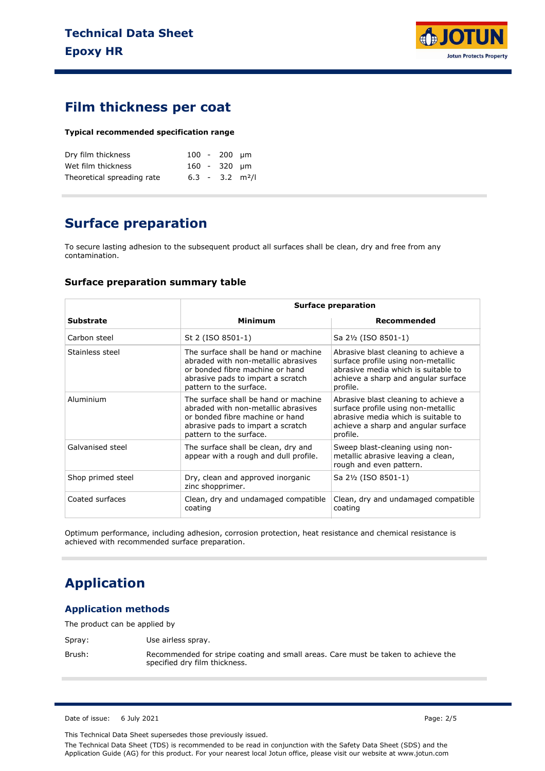

### **Film thickness per coat**

#### **Typical recommended specification range**

| Dry film thickness         |  | $100 - 200$ um                |  |
|----------------------------|--|-------------------------------|--|
| Wet film thickness         |  | 160 - 320 um                  |  |
| Theoretical spreading rate |  | $6.3 - 3.2$ m <sup>2</sup> /l |  |

# **Surface preparation**

To secure lasting adhesion to the subsequent product all surfaces shall be clean, dry and free from any contamination.

#### **Surface preparation summary table**

|                   |                                                                                                                                                                                | <b>Surface preparation</b>                                                                                                                                           |  |  |
|-------------------|--------------------------------------------------------------------------------------------------------------------------------------------------------------------------------|----------------------------------------------------------------------------------------------------------------------------------------------------------------------|--|--|
| <b>Substrate</b>  | Minimum                                                                                                                                                                        | Recommended                                                                                                                                                          |  |  |
| Carbon steel      | St 2 (ISO 8501-1)                                                                                                                                                              | Sa 21/2 (ISO 8501-1)                                                                                                                                                 |  |  |
| Stainless steel   | The surface shall be hand or machine<br>abraded with non-metallic abrasives<br>or bonded fibre machine or hand<br>abrasive pads to impart a scratch<br>pattern to the surface. | Abrasive blast cleaning to achieve a<br>surface profile using non-metallic<br>abrasive media which is suitable to<br>achieve a sharp and angular surface<br>profile. |  |  |
| Aluminium         | The surface shall be hand or machine<br>abraded with non-metallic abrasives<br>or bonded fibre machine or hand<br>abrasive pads to impart a scratch<br>pattern to the surface. | Abrasive blast cleaning to achieve a<br>surface profile using non-metallic<br>abrasive media which is suitable to<br>achieve a sharp and angular surface<br>profile. |  |  |
| Galvanised steel  | The surface shall be clean, dry and<br>appear with a rough and dull profile.                                                                                                   | Sweep blast-cleaning using non-<br>metallic abrasive leaving a clean,<br>rough and even pattern.                                                                     |  |  |
| Shop primed steel | Dry, clean and approved inorganic<br>zinc shopprimer.                                                                                                                          | Sa 21/2 (ISO 8501-1)                                                                                                                                                 |  |  |
| Coated surfaces   | Clean, dry and undamaged compatible<br>coating                                                                                                                                 | Clean, dry and undamaged compatible<br>coating                                                                                                                       |  |  |

Optimum performance, including adhesion, corrosion protection, heat resistance and chemical resistance is achieved with recommended surface preparation.

# **Application**

#### **Application methods**

The product can be applied by

Spray: Use airless spray.

Brush: Recommended for stripe coating and small areas. Care must be taken to achieve the specified dry film thickness.

Date of issue: 6 July 2021 **Page: 2/5** 

This Technical Data Sheet supersedes those previously issued.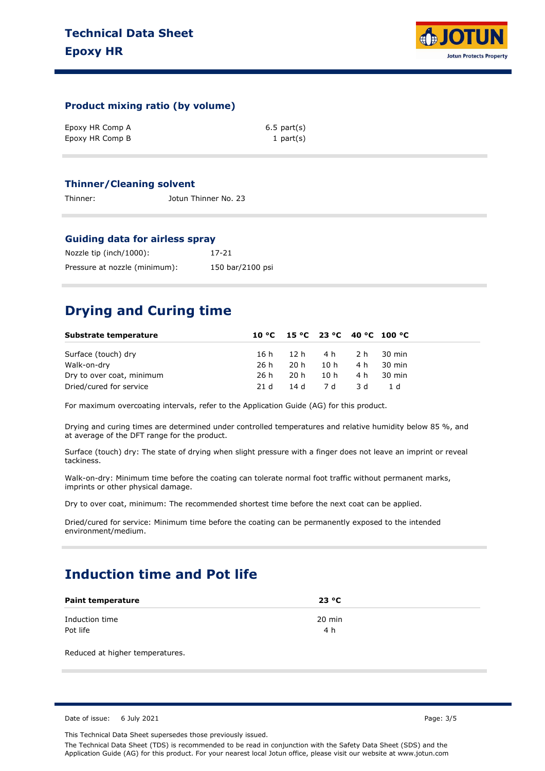

#### **Product mixing ratio (by volume)**

| Epoxy HR Comp A | $6.5$ part $(s)$ |
|-----------------|------------------|
| Epoxy HR Comp B | 1 part $(s)$     |

#### **Thinner/Cleaning solvent**

Thinner: Jotun Thinner No. 23

#### **Guiding data for airless spray**

| Nozzle tip (inch/1000):       | 17-21            |
|-------------------------------|------------------|
| Pressure at nozzle (minimum): | 150 bar/2100 psi |

## **Drying and Curing time**

| Substrate temperature     |      |                           |         |       | 10 °C 15 °C 23 °C 40 °C 100 °C |
|---------------------------|------|---------------------------|---------|-------|--------------------------------|
| Surface (touch) dry       |      | 16h 12h 4h 2h 30 min      |         |       |                                |
| Walk-on-dry               | 26 h |                           | 20h 10h |       | 4 h 30 min                     |
| Dry to over coat, minimum |      | 26 h 20 h 10 h 4 h 30 min |         |       |                                |
| Dried/cured for service   | 21 d | 14 d 7 d                  |         | - 3 d | - 1 d                          |

For maximum overcoating intervals, refer to the Application Guide (AG) for this product.

Drying and curing times are determined under controlled temperatures and relative humidity below 85 %, and at average of the DFT range for the product.

Surface (touch) dry: The state of drying when slight pressure with a finger does not leave an imprint or reveal tackiness.

Walk-on-dry: Minimum time before the coating can tolerate normal foot traffic without permanent marks, imprints or other physical damage.

Dry to over coat, minimum: The recommended shortest time before the next coat can be applied.

Dried/cured for service: Minimum time before the coating can be permanently exposed to the intended environment/medium.

# **Induction time and Pot life**

| <b>Paint temperature</b>   | 23 °C         |  |
|----------------------------|---------------|--|
| Induction time<br>Pot life | 20 min<br>4 h |  |
|                            |               |  |

Reduced at higher temperatures.

Date of issue: 6 July 2021 **Page: 3/5** 

This Technical Data Sheet supersedes those previously issued.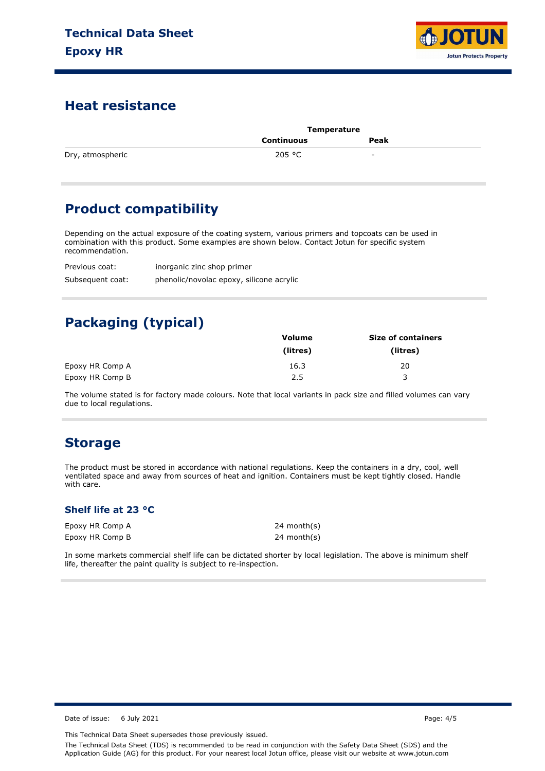

### **Heat resistance**

|                  | Temperature |                          |  |
|------------------|-------------|--------------------------|--|
|                  | Continuous  | Peak                     |  |
| Dry, atmospheric | 205 °C      | $\overline{\phantom{0}}$ |  |

# **Product compatibility**

Depending on the actual exposure of the coating system, various primers and topcoats can be used in combination with this product. Some examples are shown below. Contact Jotun for specific system recommendation.

Previous coat: Subsequent coat: inorganic zinc shop primer phenolic/novolac epoxy, silicone acrylic

# **Packaging (typical)**

|                 | <b>Volume</b> | <b>Size of containers</b> |
|-----------------|---------------|---------------------------|
|                 | (litres)      | (litres)                  |
| Epoxy HR Comp A | 16.3          | 20                        |
| Epoxy HR Comp B | 2.5           | 3                         |

The volume stated is for factory made colours. Note that local variants in pack size and filled volumes can vary due to local regulations.

### **Storage**

The product must be stored in accordance with national regulations. Keep the containers in a dry, cool, well ventilated space and away from sources of heat and ignition. Containers must be kept tightly closed. Handle with care.

#### **Shelf life at 23 °C**

Epoxy HR Comp A Epoxy HR Comp B 24 month(s) 24 month(s)

In some markets commercial shelf life can be dictated shorter by local legislation. The above is minimum shelf life, thereafter the paint quality is subject to re-inspection.

Date of issue: 6 July 2021 **Page: 4/5** 

This Technical Data Sheet supersedes those previously issued.